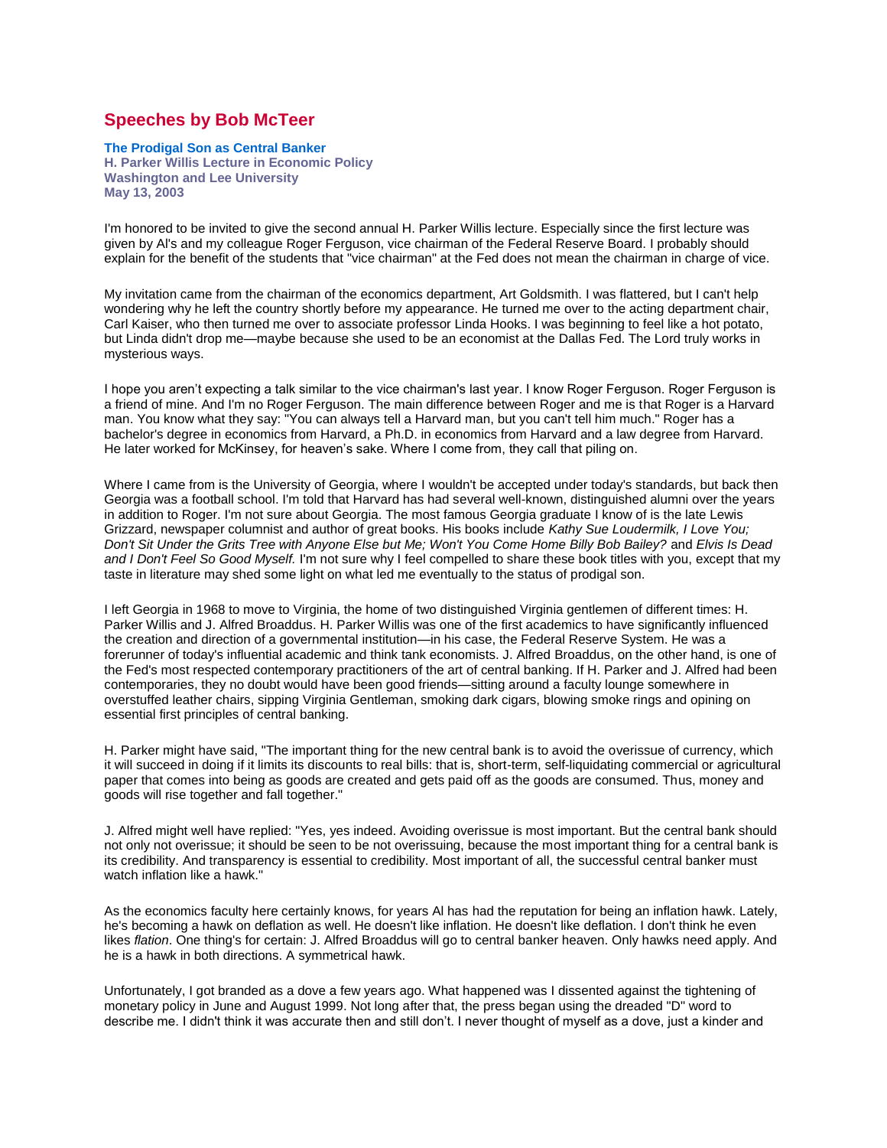## **Speeches by Bob McTeer**

## **The Prodigal Son as Central Banker**

**H. Parker Willis Lecture in Economic Policy Washington and Lee University May 13, 2003**

I'm honored to be invited to give the second annual H. Parker Willis lecture. Especially since the first lecture was given by Al's and my colleague Roger Ferguson, vice chairman of the Federal Reserve Board. I probably should explain for the benefit of the students that "vice chairman" at the Fed does not mean the chairman in charge of vice.

My invitation came from the chairman of the economics department, Art Goldsmith. I was flattered, but I can't help wondering why he left the country shortly before my appearance. He turned me over to the acting department chair, Carl Kaiser, who then turned me over to associate professor Linda Hooks. I was beginning to feel like a hot potato, but Linda didn't drop me—maybe because she used to be an economist at the Dallas Fed. The Lord truly works in mysterious ways.

I hope you aren't expecting a talk similar to the vice chairman's last year. I know Roger Ferguson. Roger Ferguson is a friend of mine. And I'm no Roger Ferguson. The main difference between Roger and me is that Roger is a Harvard man. You know what they say: "You can always tell a Harvard man, but you can't tell him much." Roger has a bachelor's degree in economics from Harvard, a Ph.D. in economics from Harvard and a law degree from Harvard. He later worked for McKinsey, for heaven's sake. Where I come from, they call that piling on.

Where I came from is the University of Georgia, where I wouldn't be accepted under today's standards, but back then Georgia was a football school. I'm told that Harvard has had several well-known, distinguished alumni over the years in addition to Roger. I'm not sure about Georgia. The most famous Georgia graduate I know of is the late Lewis Grizzard, newspaper columnist and author of great books. His books include *Kathy Sue Loudermilk, I Love You; Don't Sit Under the Grits Tree with Anyone Else but Me; Won't You Come Home Billy Bob Bailey?* and *Elvis Is Dead and I Don't Feel So Good Myself.* I'm not sure why I feel compelled to share these book titles with you, except that my taste in literature may shed some light on what led me eventually to the status of prodigal son.

I left Georgia in 1968 to move to Virginia, the home of two distinguished Virginia gentlemen of different times: H. Parker Willis and J. Alfred Broaddus. H. Parker Willis was one of the first academics to have significantly influenced the creation and direction of a governmental institution—in his case, the Federal Reserve System. He was a forerunner of today's influential academic and think tank economists. J. Alfred Broaddus, on the other hand, is one of the Fed's most respected contemporary practitioners of the art of central banking. If H. Parker and J. Alfred had been contemporaries, they no doubt would have been good friends—sitting around a faculty lounge somewhere in overstuffed leather chairs, sipping Virginia Gentleman, smoking dark cigars, blowing smoke rings and opining on essential first principles of central banking.

H. Parker might have said, "The important thing for the new central bank is to avoid the overissue of currency, which it will succeed in doing if it limits its discounts to real bills: that is, short-term, self-liquidating commercial or agricultural paper that comes into being as goods are created and gets paid off as the goods are consumed. Thus, money and goods will rise together and fall together."

J. Alfred might well have replied: "Yes, yes indeed. Avoiding overissue is most important. But the central bank should not only not overissue; it should be seen to be not overissuing, because the most important thing for a central bank is its credibility. And transparency is essential to credibility. Most important of all, the successful central banker must watch inflation like a hawk."

As the economics faculty here certainly knows, for years Al has had the reputation for being an inflation hawk. Lately, he's becoming a hawk on deflation as well. He doesn't like inflation. He doesn't like deflation. I don't think he even likes *flation*. One thing's for certain: J. Alfred Broaddus will go to central banker heaven. Only hawks need apply. And he is a hawk in both directions. A symmetrical hawk.

Unfortunately, I got branded as a dove a few years ago. What happened was I dissented against the tightening of monetary policy in June and August 1999. Not long after that, the press began using the dreaded "D" word to describe me. I didn't think it was accurate then and still don't. I never thought of myself as a dove, just a kinder and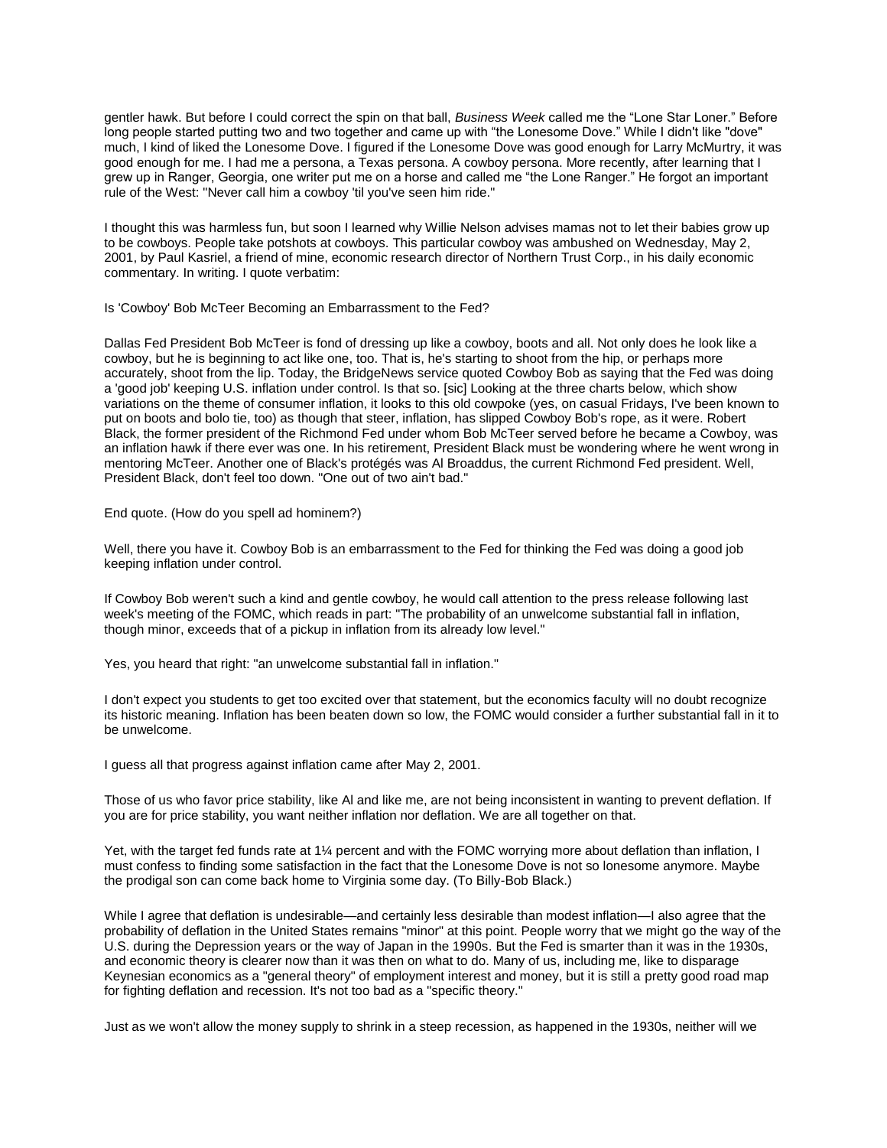gentler hawk. But before I could correct the spin on that ball, *Business Week* called me the "Lone Star Loner." Before long people started putting two and two together and came up with "the Lonesome Dove." While I didn't like "dove" much, I kind of liked the Lonesome Dove. I figured if the Lonesome Dove was good enough for Larry McMurtry, it was good enough for me. I had me a persona, a Texas persona. A cowboy persona. More recently, after learning that I grew up in Ranger, Georgia, one writer put me on a horse and called me "the Lone Ranger." He forgot an important rule of the West: "Never call him a cowboy 'til you've seen him ride."

I thought this was harmless fun, but soon I learned why Willie Nelson advises mamas not to let their babies grow up to be cowboys. People take potshots at cowboys. This particular cowboy was ambushed on Wednesday, May 2, 2001, by Paul Kasriel, a friend of mine, economic research director of Northern Trust Corp., in his daily economic commentary. In writing. I quote verbatim:

## Is 'Cowboy' Bob McTeer Becoming an Embarrassment to the Fed?

Dallas Fed President Bob McTeer is fond of dressing up like a cowboy, boots and all. Not only does he look like a cowboy, but he is beginning to act like one, too. That is, he's starting to shoot from the hip, or perhaps more accurately, shoot from the lip. Today, the BridgeNews service quoted Cowboy Bob as saying that the Fed was doing a 'good job' keeping U.S. inflation under control. Is that so. [sic] Looking at the three charts below, which show variations on the theme of consumer inflation, it looks to this old cowpoke (yes, on casual Fridays, I've been known to put on boots and bolo tie, too) as though that steer, inflation, has slipped Cowboy Bob's rope, as it were. Robert Black, the former president of the Richmond Fed under whom Bob McTeer served before he became a Cowboy, was an inflation hawk if there ever was one. In his retirement, President Black must be wondering where he went wrong in mentoring McTeer. Another one of Black's protégés was Al Broaddus, the current Richmond Fed president. Well, President Black, don't feel too down. "One out of two ain't bad."

End quote. (How do you spell ad hominem?)

Well, there you have it. Cowboy Bob is an embarrassment to the Fed for thinking the Fed was doing a good job keeping inflation under control.

If Cowboy Bob weren't such a kind and gentle cowboy, he would call attention to the press release following last week's meeting of the FOMC, which reads in part: "The probability of an unwelcome substantial fall in inflation, though minor, exceeds that of a pickup in inflation from its already low level."

Yes, you heard that right: "an unwelcome substantial fall in inflation."

I don't expect you students to get too excited over that statement, but the economics faculty will no doubt recognize its historic meaning. Inflation has been beaten down so low, the FOMC would consider a further substantial fall in it to be unwelcome.

I guess all that progress against inflation came after May 2, 2001.

Those of us who favor price stability, like Al and like me, are not being inconsistent in wanting to prevent deflation. If you are for price stability, you want neither inflation nor deflation. We are all together on that.

Yet, with the target fed funds rate at 1¼ percent and with the FOMC worrying more about deflation than inflation, I must confess to finding some satisfaction in the fact that the Lonesome Dove is not so lonesome anymore. Maybe the prodigal son can come back home to Virginia some day. (To Billy-Bob Black.)

While I agree that deflation is undesirable—and certainly less desirable than modest inflation—I also agree that the probability of deflation in the United States remains "minor" at this point. People worry that we might go the way of the U.S. during the Depression years or the way of Japan in the 1990s. But the Fed is smarter than it was in the 1930s, and economic theory is clearer now than it was then on what to do. Many of us, including me, like to disparage Keynesian economics as a "general theory" of employment interest and money, but it is still a pretty good road map for fighting deflation and recession. It's not too bad as a "specific theory."

Just as we won't allow the money supply to shrink in a steep recession, as happened in the 1930s, neither will we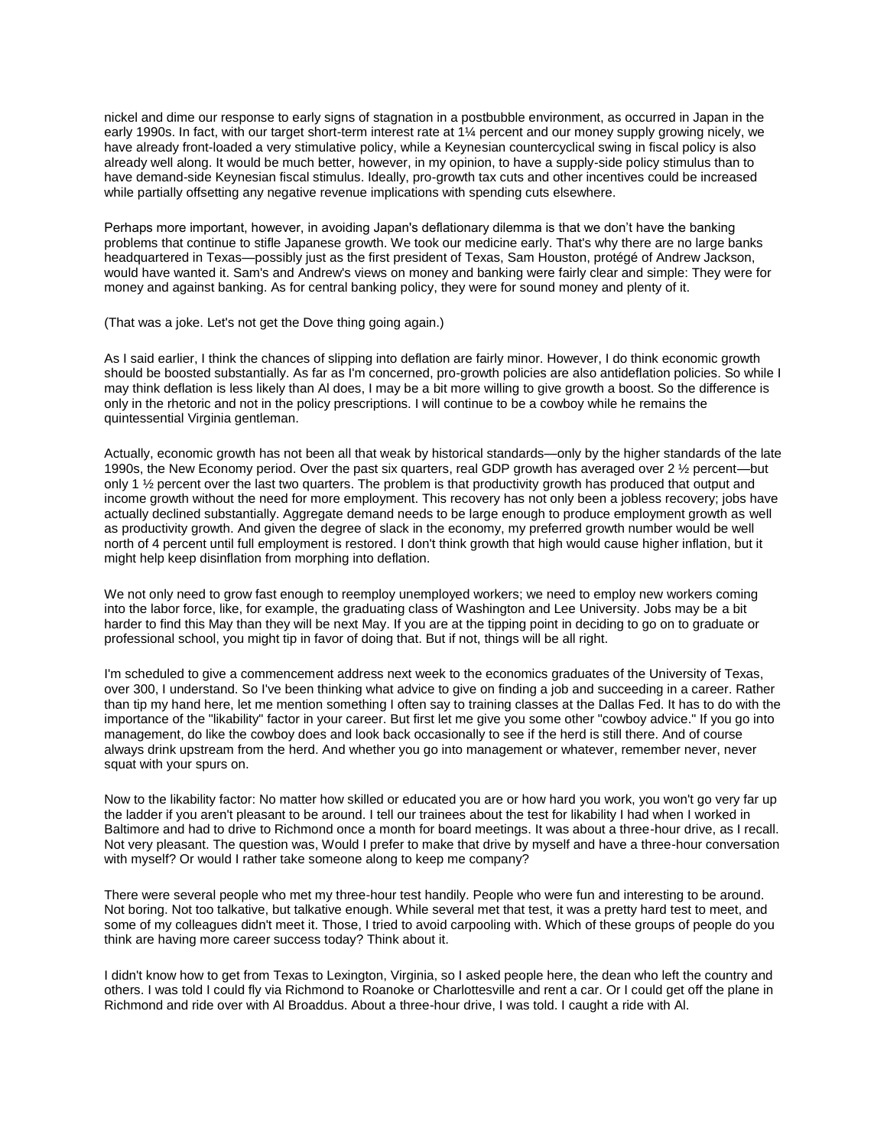nickel and dime our response to early signs of stagnation in a postbubble environment, as occurred in Japan in the early 1990s. In fact, with our target short-term interest rate at 1¼ percent and our money supply growing nicely, we have already front-loaded a very stimulative policy, while a Keynesian countercyclical swing in fiscal policy is also already well along. It would be much better, however, in my opinion, to have a supply-side policy stimulus than to have demand-side Keynesian fiscal stimulus. Ideally, pro-growth tax cuts and other incentives could be increased while partially offsetting any negative revenue implications with spending cuts elsewhere.

Perhaps more important, however, in avoiding Japan's deflationary dilemma is that we don't have the banking problems that continue to stifle Japanese growth. We took our medicine early. That's why there are no large banks headquartered in Texas—possibly just as the first president of Texas, Sam Houston, protégé of Andrew Jackson, would have wanted it. Sam's and Andrew's views on money and banking were fairly clear and simple: They were for money and against banking. As for central banking policy, they were for sound money and plenty of it.

(That was a joke. Let's not get the Dove thing going again.)

As I said earlier, I think the chances of slipping into deflation are fairly minor. However, I do think economic growth should be boosted substantially. As far as I'm concerned, pro-growth policies are also antideflation policies. So while I may think deflation is less likely than Al does, I may be a bit more willing to give growth a boost. So the difference is only in the rhetoric and not in the policy prescriptions. I will continue to be a cowboy while he remains the quintessential Virginia gentleman.

Actually, economic growth has not been all that weak by historical standards—only by the higher standards of the late 1990s, the New Economy period. Over the past six quarters, real GDP growth has averaged over 2 ½ percent—but only 1 ½ percent over the last two quarters. The problem is that productivity growth has produced that output and income growth without the need for more employment. This recovery has not only been a jobless recovery; jobs have actually declined substantially. Aggregate demand needs to be large enough to produce employment growth as well as productivity growth. And given the degree of slack in the economy, my preferred growth number would be well north of 4 percent until full employment is restored. I don't think growth that high would cause higher inflation, but it might help keep disinflation from morphing into deflation.

We not only need to grow fast enough to reemploy unemployed workers; we need to employ new workers coming into the labor force, like, for example, the graduating class of Washington and Lee University. Jobs may be a bit harder to find this May than they will be next May. If you are at the tipping point in deciding to go on to graduate or professional school, you might tip in favor of doing that. But if not, things will be all right.

I'm scheduled to give a commencement address next week to the economics graduates of the University of Texas, over 300, I understand. So I've been thinking what advice to give on finding a job and succeeding in a career. Rather than tip my hand here, let me mention something I often say to training classes at the Dallas Fed. It has to do with the importance of the "likability" factor in your career. But first let me give you some other "cowboy advice." If you go into management, do like the cowboy does and look back occasionally to see if the herd is still there. And of course always drink upstream from the herd. And whether you go into management or whatever, remember never, never squat with your spurs on.

Now to the likability factor: No matter how skilled or educated you are or how hard you work, you won't go very far up the ladder if you aren't pleasant to be around. I tell our trainees about the test for likability I had when I worked in Baltimore and had to drive to Richmond once a month for board meetings. It was about a three-hour drive, as I recall. Not very pleasant. The question was, Would I prefer to make that drive by myself and have a three-hour conversation with myself? Or would I rather take someone along to keep me company?

There were several people who met my three-hour test handily. People who were fun and interesting to be around. Not boring. Not too talkative, but talkative enough. While several met that test, it was a pretty hard test to meet, and some of my colleagues didn't meet it. Those, I tried to avoid carpooling with. Which of these groups of people do you think are having more career success today? Think about it.

I didn't know how to get from Texas to Lexington, Virginia, so I asked people here, the dean who left the country and others. I was told I could fly via Richmond to Roanoke or Charlottesville and rent a car. Or I could get off the plane in Richmond and ride over with Al Broaddus. About a three-hour drive, I was told. I caught a ride with Al.